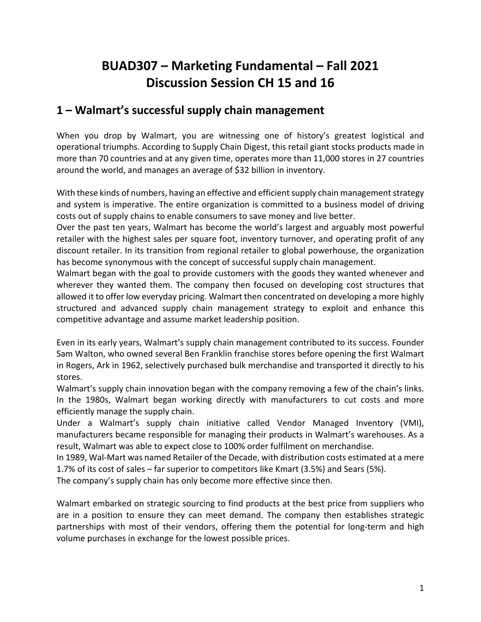# **BUAD307 – Marketing Fundamental – Fall 2021 Discussion Session CH 15 and 16**

## **1 – Walmart's successful supply chain management**

When you drop by Walmart, you are witnessing one of history's greatest logistical and operational triumphs. According to Supply Chain Digest, this retail giant stocks products made in more than 70 countries and at any given time, operates more than 11,000 stores in 27 countries around the world, and manages an average of \$32 billion in inventory.

With these kinds of numbers, having an effective and efficient supply chain management strategy and system is imperative. The entire organization is committed to a business model of driving costs out of supply chains to enable consumers to save money and live better.

Over the past ten years, Walmart has become the world's largest and arguably most powerful retailer with the highest sales per square foot, inventory turnover, and operating profit of any discount retailer. In its transition from regional retailer to global powerhouse, the organization has become synonymous with the concept of successful supply chain management.

Walmart began with the goal to provide customers with the goods they wanted whenever and wherever they wanted them. The company then focused on developing cost structures that allowed it to offer low everyday pricing. Walmart then concentrated on developing a more highly structured and advanced supply chain management strategy to exploit and enhance this competitive advantage and assume market leadership position.

Even in its early years, Walmart's supply chain management contributed to its success. Founder Sam Walton, who owned several Ben Franklin franchise stores before opening the first Walmart in Rogers, Ark in 1962, selectively purchased bulk merchandise and transported it directly to his stores.

Walmart's supply chain innovation began with the company removing a few of the chain's links. In the 1980s, Walmart began working directly with manufacturers to cut costs and more efficiently manage the supply chain.

Under a Walmart's supply chain initiative called Vendor Managed Inventory (VMI), manufacturers became responsible for managing their products in Walmart's warehouses. As a result, Walmart was able to expect close to 100% order fulfilment on merchandise.

In 1989, Wal-Mart was named Retailer of the Decade, with distribution costs estimated at a mere 1.7% of its cost of sales – far superior to competitors like Kmart (3.5%) and Sears (5%).

The company's supply chain has only become more effective since then.

Walmart embarked on strategic sourcing to find products at the best price from suppliers who are in a position to ensure they can meet demand. The company then establishes strategic partnerships with most of their vendors, offering them the potential for long-term and high volume purchases in exchange for the lowest possible prices.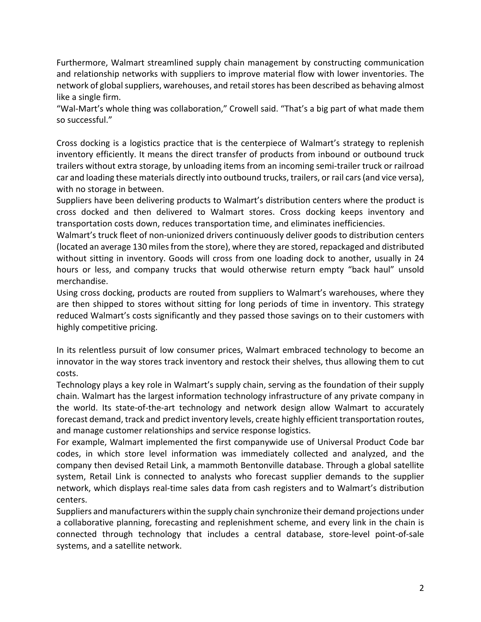Furthermore, Walmart streamlined supply chain management by constructing communication and relationship networks with suppliers to improve material flow with lower inventories. The network of global suppliers, warehouses, and retail stores has been described as behaving almost like a single firm.

"Wal-Mart's whole thing was collaboration," Crowell said. "That's a big part of what made them so successful."

Cross docking is a logistics practice that is the centerpiece of Walmart's strategy to replenish inventory efficiently. It means the direct transfer of products from inbound or outbound truck trailers without extra storage, by unloading items from an incoming semi-trailer truck or railroad car and loading these materials directly into outbound trucks, trailers, or rail cars (and vice versa), with no storage in between.

Suppliers have been delivering products to Walmart's distribution centers where the product is cross docked and then delivered to Walmart stores. Cross docking keeps inventory and transportation costs down, reduces transportation time, and eliminates inefficiencies.

Walmart's truck fleet of non-unionized drivers continuously deliver goods to distribution centers (located an average 130 miles from the store), where they are stored, repackaged and distributed without sitting in inventory. Goods will cross from one loading dock to another, usually in 24 hours or less, and company trucks that would otherwise return empty "back haul" unsold merchandise.

Using cross docking, products are routed from suppliers to Walmart's warehouses, where they are then shipped to stores without sitting for long periods of time in inventory. This strategy reduced Walmart's costs significantly and they passed those savings on to their customers with highly competitive pricing.

In its relentless pursuit of low consumer prices, Walmart embraced technology to become an innovator in the way stores track inventory and restock their shelves, thus allowing them to cut costs.

Technology plays a key role in Walmart's supply chain, serving as the foundation of their supply chain. Walmart has the largest information technology infrastructure of any private company in the world. Its state-of-the-art technology and network design allow Walmart to accurately forecast demand, track and predict inventory levels, create highly efficient transportation routes, and manage customer relationships and service response logistics.

For example, Walmart implemented the first companywide use of Universal Product Code bar codes, in which store level information was immediately collected and analyzed, and the company then devised Retail Link, a mammoth Bentonville database. Through a global satellite system, Retail Link is connected to analysts who forecast supplier demands to the supplier network, which displays real-time sales data from cash registers and to Walmart's distribution centers.

Suppliers and manufacturers within the supply chain synchronize their demand projections under a collaborative planning, forecasting and replenishment scheme, and every link in the chain is connected through technology that includes a central database, store-level point-of-sale systems, and a satellite network.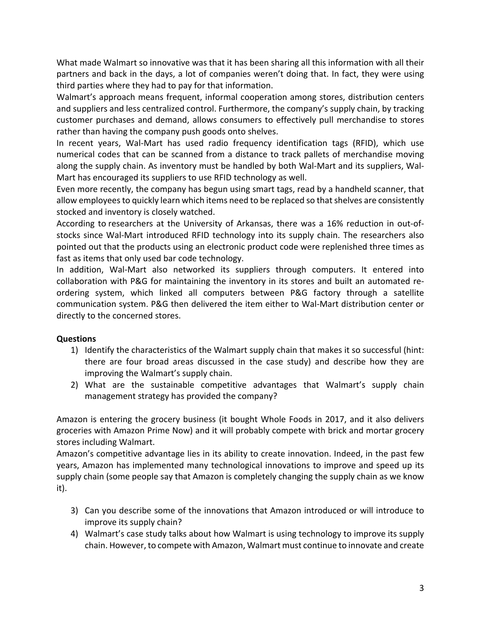What made Walmart so innovative was that it has been sharing all this information with all their partners and back in the days, a lot of companies weren't doing that. In fact, they were using third parties where they had to pay for that information.

Walmart's approach means frequent, informal cooperation among stores, distribution centers and suppliers and less centralized control. Furthermore, the company's supply chain, by tracking customer purchases and demand, allows consumers to effectively pull merchandise to stores rather than having the company push goods onto shelves.

In recent years, Wal-Mart has used radio frequency identification tags (RFID), which use numerical codes that can be scanned from a distance to track pallets of merchandise moving along the supply chain. As inventory must be handled by both Wal-Mart and its suppliers, Wal-Mart has encouraged its suppliers to use RFID technology as well.

Even more recently, the company has begun using smart tags, read by a handheld scanner, that allow employees to quickly learn which items need to be replaced so that shelves are consistently stocked and inventory is closely watched.

According to researchers at the University of Arkansas, there was a 16% reduction in out-ofstocks since Wal-Mart introduced RFID technology into its supply chain. The researchers also pointed out that the products using an electronic product code were replenished three times as fast as items that only used bar code technology.

In addition, Wal-Mart also networked its suppliers through computers. It entered into collaboration with P&G for maintaining the inventory in its stores and built an automated reordering system, which linked all computers between P&G factory through a satellite communication system. P&G then delivered the item either to Wal-Mart distribution center or directly to the concerned stores.

#### **Questions**

- 1) Identify the characteristics of the Walmart supply chain that makes it so successful (hint: there are four broad areas discussed in the case study) and describe how they are improving the Walmart's supply chain.
- 2) What are the sustainable competitive advantages that Walmart's supply chain management strategy has provided the company?

Amazon is entering the grocery business (it bought Whole Foods in 2017, and it also delivers groceries with Amazon Prime Now) and it will probably compete with brick and mortar grocery stores including Walmart.

Amazon's competitive advantage lies in its ability to create innovation. Indeed, in the past few years, Amazon has implemented many technological innovations to improve and speed up its supply chain (some people say that Amazon is completely changing the supply chain as we know it).

- 3) Can you describe some of the innovations that Amazon introduced or will introduce to improve its supply chain?
- 4) Walmart's case study talks about how Walmart is using technology to improve its supply chain. However, to compete with Amazon, Walmart must continue to innovate and create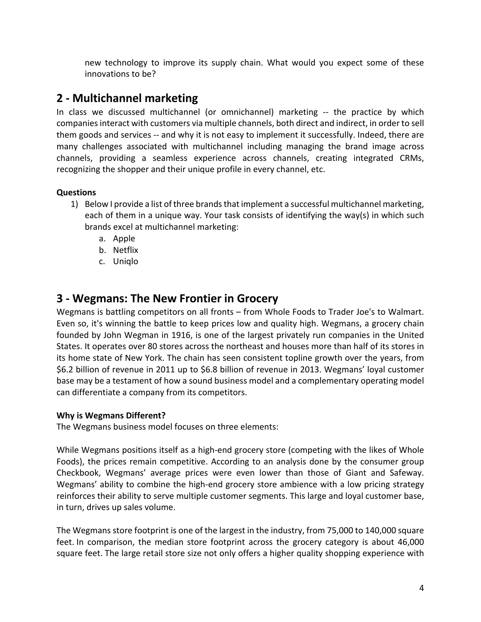new technology to improve its supply chain. What would you expect some of these innovations to be?

## **2 - Multichannel marketing**

In class we discussed multichannel (or omnichannel) marketing -- the practice by which companies interact with customers via multiple channels, both direct and indirect, in order to sell them goods and services -- and why it is not easy to implement it successfully. Indeed, there are many challenges associated with multichannel including managing the brand image across channels, providing a seamless experience across channels, creating integrated CRMs, recognizing the shopper and their unique profile in every channel, etc.

#### **Questions**

- 1) Below I provide a list of three brands that implement a successful multichannel marketing, each of them in a unique way. Your task consists of identifying the way(s) in which such brands excel at multichannel marketing:
	- a. Apple
	- b. Netflix
	- c. Uniqlo

### **3 - Wegmans: The New Frontier in Grocery**

Wegmans is battling competitors on all fronts – from Whole Foods to Trader Joe's to Walmart. Even so, it's winning the battle to keep prices low and quality high. Wegmans, a grocery chain founded by John Wegman in 1916, is one of the largest privately run companies in the United States. It operates over 80 stores across the northeast and houses more than half of its stores in its home state of New York. The chain has seen consistent topline growth over the years, from \$6.2 billion of revenue in 2011 up to \$6.8 billion of revenue in 2013. Wegmans' loyal customer base may be a testament of how a sound business model and a complementary operating model can differentiate a company from its competitors.

#### **Why is Wegmans Different?**

The Wegmans business model focuses on three elements:

While Wegmans positions itself as a high-end grocery store (competing with the likes of Whole Foods), the prices remain competitive. According to an analysis done by the consumer group Checkbook, Wegmans' average prices were even lower than those of Giant and Safeway. Wegmans' ability to combine the high-end grocery store ambience with a low pricing strategy reinforces their ability to serve multiple customer segments. This large and loyal customer base, in turn, drives up sales volume.

The Wegmans store footprint is one of the largest in the industry, from 75,000 to 140,000 square feet. In comparison, the median store footprint across the grocery category is about 46,000 square feet. The large retail store size not only offers a higher quality shopping experience with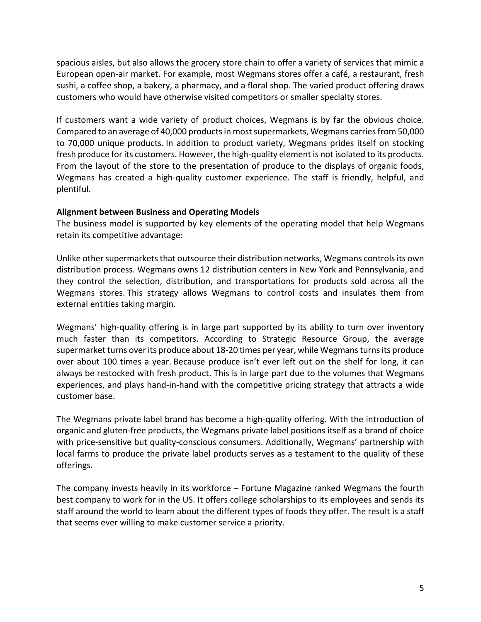spacious aisles, but also allows the grocery store chain to offer a variety of services that mimic a European open-air market. For example, most Wegmans stores offer a café, a restaurant, fresh sushi, a coffee shop, a bakery, a pharmacy, and a floral shop. The varied product offering draws customers who would have otherwise visited competitors or smaller specialty stores.

If customers want a wide variety of product choices, Wegmans is by far the obvious choice. Compared to an average of 40,000 products in most supermarkets, Wegmans carries from 50,000 to 70,000 unique products. In addition to product variety, Wegmans prides itself on stocking fresh produce for its customers. However, the high-quality element is not isolated to its products. From the layout of the store to the presentation of produce to the displays of organic foods, Wegmans has created a high-quality customer experience. The staff is friendly, helpful, and plentiful.

#### **Alignment between Business and Operating Models**

The business model is supported by key elements of the operating model that help Wegmans retain its competitive advantage:

Unlike other supermarkets that outsource their distribution networks, Wegmans controls its own distribution process. Wegmans owns 12 distribution centers in New York and Pennsylvania, and they control the selection, distribution, and transportations for products sold across all the Wegmans stores. This strategy allows Wegmans to control costs and insulates them from external entities taking margin.

Wegmans' high-quality offering is in large part supported by its ability to turn over inventory much faster than its competitors. According to Strategic Resource Group, the average supermarket turns over its produce about 18-20 times per year, while Wegmans turns its produce over about 100 times a year. Because produce isn't ever left out on the shelf for long, it can always be restocked with fresh product. This is in large part due to the volumes that Wegmans experiences, and plays hand-in-hand with the competitive pricing strategy that attracts a wide customer base.

The Wegmans private label brand has become a high-quality offering. With the introduction of organic and gluten-free products, the Wegmans private label positions itself as a brand of choice with price-sensitive but quality-conscious consumers. Additionally, Wegmans' partnership with local farms to produce the private label products serves as a testament to the quality of these offerings.

The company invests heavily in its workforce – Fortune Magazine ranked Wegmans the fourth best company to work for in the US. It offers college scholarships to its employees and sends its staff around the world to learn about the different types of foods they offer. The result is a staff that seems ever willing to make customer service a priority.